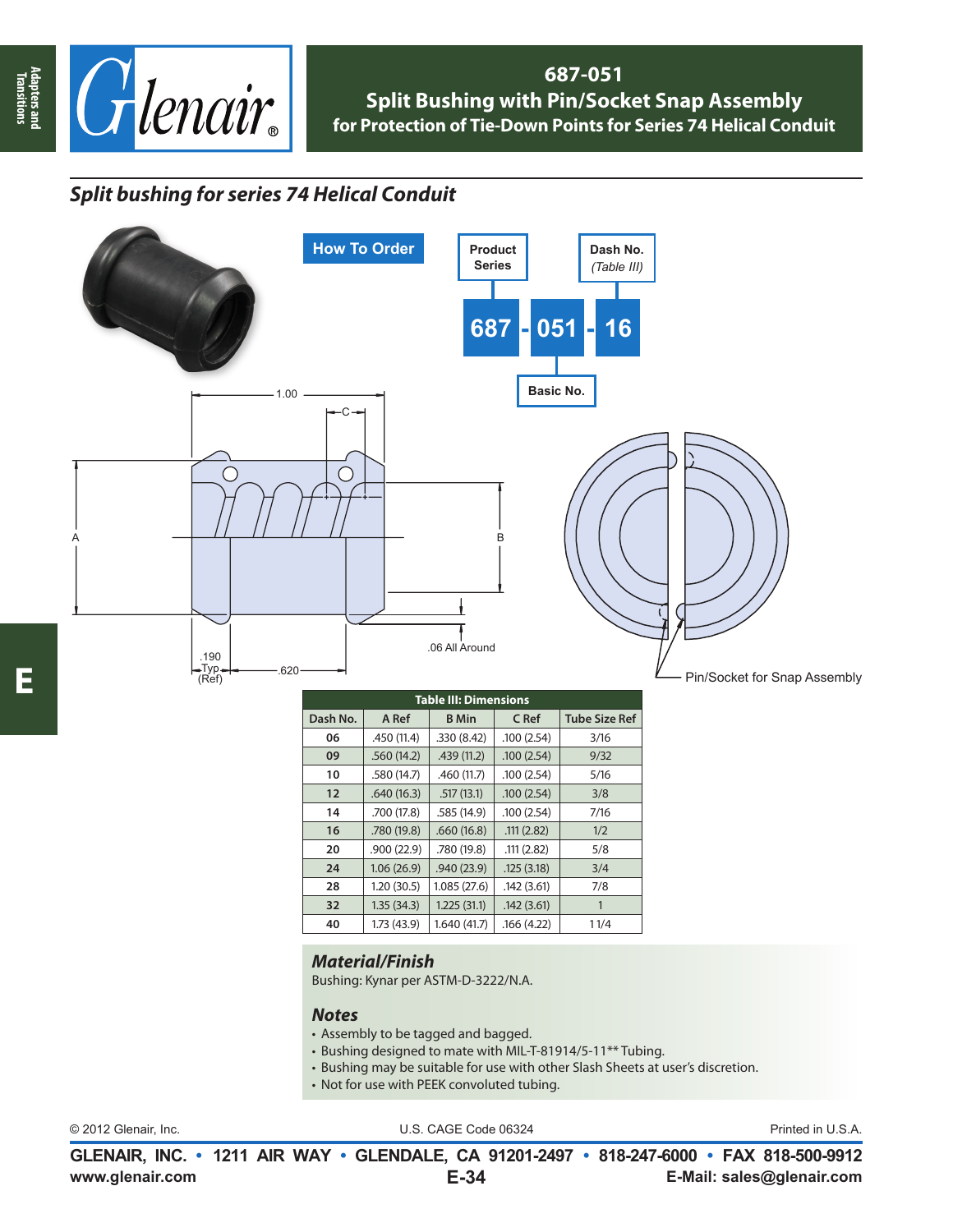

### **687-051 Split Bushing with Pin/Socket Snap Assembly for Protection of Tie-Down Points for Series 74 Helical Conduit**

# *Split bushing for series 74 Helical Conduit*



### *Material/Finish*

Bushing: Kynar per ASTM-D-3222/N.A.

#### *Notes*

- Assembly to be tagged and bagged.
- Bushing designed to mate with MIL-T-81914/5-11\*\* Tubing.
- Bushing may be suitable for use with other Slash Sheets at user's discretion.
- Not for use with PEEK convoluted tubing.

| © 2012 Glenair, Inc. |  |
|----------------------|--|
|                      |  |

U.S. CAGE Code 06324 Printed in U.S.A.

**www.glenair.com E-Mail: sales@glenair.com GLENAIR, INC. • 1211 AIR WAY • GLENDALE, CA 91201-2497 • 818-247-6000 • FAX 818-500-9912 E-34**